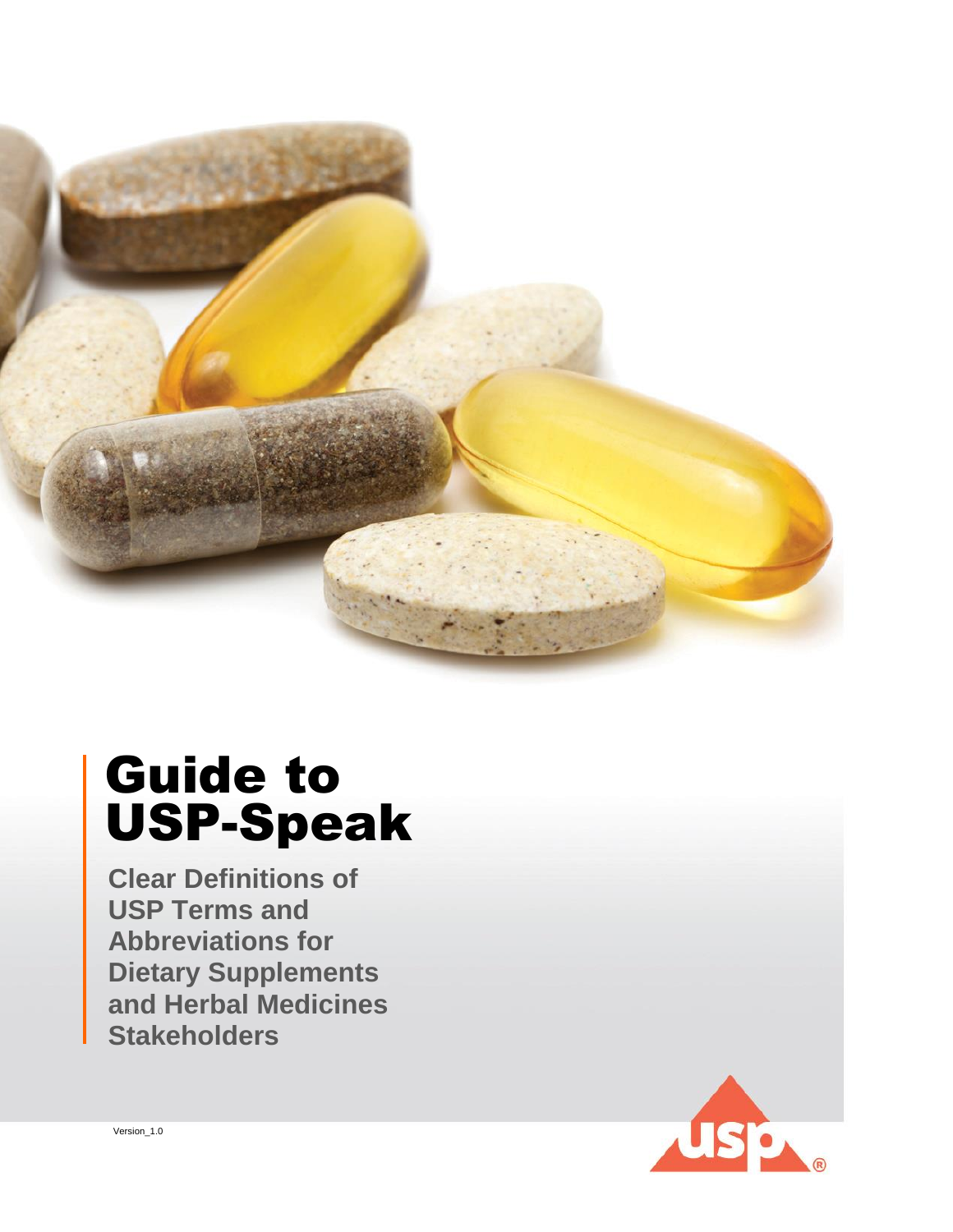

# USP-Speak Guide to

**Clear Definitions of USP Terms and Abbreviations for Dietary Supplements and Herbal Medicines Stakeholders**



Version\_1.0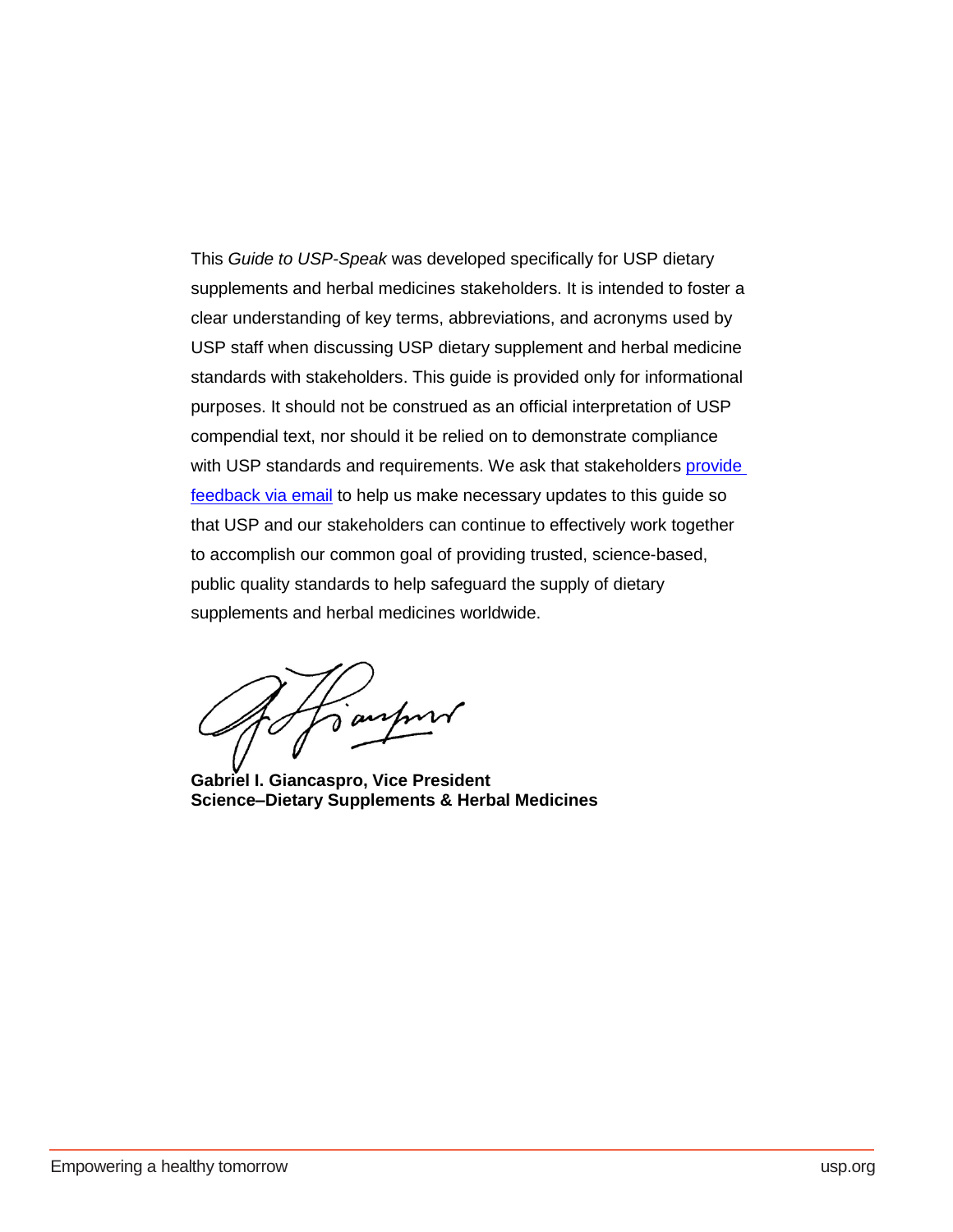This *Guide to USP-Speak* was developed specifically for USP dietary supplements and herbal medicines stakeholders. It is intended to foster a clear understanding of key terms, abbreviations, and acronyms used by USP staff when discussing USP dietary supplement and herbal medicine standards with stakeholders. This guide is provided only for informational purposes. It should not be construed as an official interpretation of USP compendial text, nor should it be relied on to demonstrate compliance with USP standards and requirements. We ask that stakeholders provide [feedback via email](mailto:JWS@usp.org) to help us make necessary updates to this guide so that USP and our stakeholders can continue to effectively work together to accomplish our common goal of providing trusted, science-based, public quality standards to help safeguard the supply of dietary supplements and herbal medicines worldwide.

ranhon

<span id="page-1-0"></span>**Gabriel I. Giancaspro, Vice President Science–Dietary Supplements & Herbal Medicines**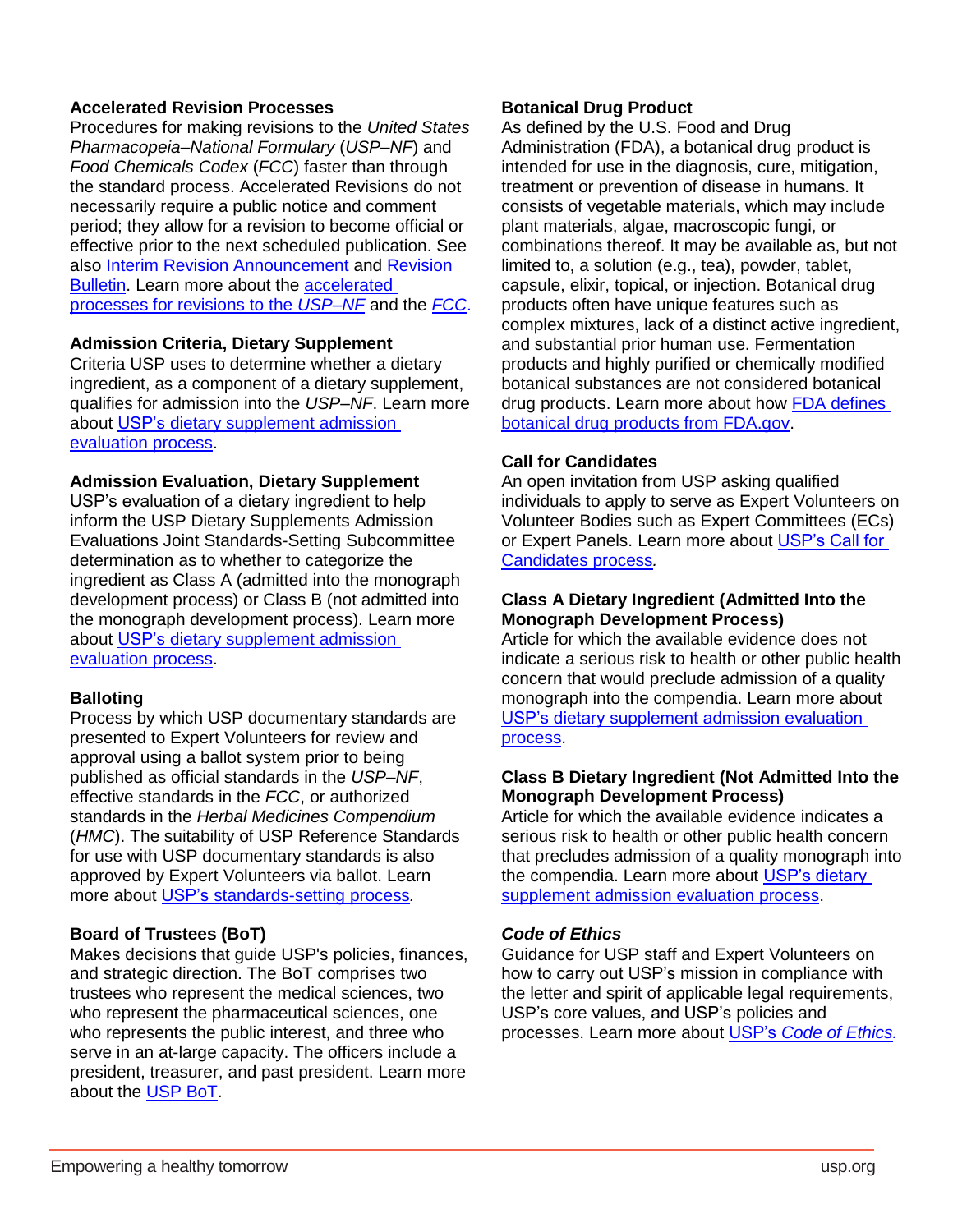# **Accelerated Revision Processes**

Procedures for making revisions to the *United States Pharmacopeia–National Formulary* (*USP–NF*) and *Food Chemicals Codex* (*FCC*) faster than through the standard process. Accelerated Revisions do not necessarily require a public notice and comment period; they allow for a revision to become official or effective prior to the next scheduled publication. See also [Interim Revision Announcement](#page-5-0) and [Revision](#page-7-0)  [Bulletin.](#page-7-0) Learn more about the [accelerated](http://www.uspnf.com/sites/default/files/usp_pdf/EN/fcc/guideline-on-use-of-accelerated-processes.pdf)  [processes for revisions to the](http://www.uspnf.com/sites/default/files/usp_pdf/EN/fcc/guideline-on-use-of-accelerated-processes.pdf) *USP–NF* and the *[FCC](http://www.foodchemicalscodex.org/sites/fcconline/files/usp_pdf/EN/fcc/guideline-on-use-of-fcc-accelerated-processes.pdf)*.

## **Admission Criteria, Dietary Supplement**

Criteria USP uses to determine whether a dietary ingredient, as a component of a dietary supplement, qualifies for admission into the *USP–NF*. Learn more about USP's [dietary supplement admission](https://www.usp.org/sites/default/files/usp/document/get-involved/submission-guidelines/guideline-for-the-admission-of-dietary-supplement-ingredients.pdf)  [evaluation process.](https://www.usp.org/sites/default/files/usp/document/get-involved/submission-guidelines/guideline-for-the-admission-of-dietary-supplement-ingredients.pdf)

## **Admission Evaluation, Dietary Supplement**

USP's evaluation of a dietary ingredient to help inform the USP Dietary Supplements Admission Evaluations Joint Standards-Setting Subcommittee determination as to whether to categorize the ingredient as Class A (admitted into the monograph development process) or Class B (not admitted into the monograph development process). Learn more about [USP's dietary supplement admission](https://www.usp.org/sites/default/files/usp/document/get-involved/submission-guidelines/guideline-for-the-admission-of-dietary-supplement-ingredients.pdf)  [evaluation process.](https://www.usp.org/sites/default/files/usp/document/get-involved/submission-guidelines/guideline-for-the-admission-of-dietary-supplement-ingredients.pdf)

# **Balloting**

Process by which USP documentary standards are presented to Expert Volunteers for review and approval using a ballot system prior to being published as official standards in the *USP–NF*, effective standards in the *FCC*, or authorized standards in the *Herbal Medicines Compendium*  (*HMC*). The suitability of USP Reference Standards for use with USP documentary standards is also approved by Expert Volunteers via ballot. Learn more about [USP's standards-setting process](http://www.usp.org/frequently-asked-questions/standards-setting-process)*.*

# **Board of Trustees (BoT)**

Makes decisions that guide USP's policies, finances, and strategic direction. The BoT comprises two trustees who represent the medical sciences, two who represent the pharmaceutical sciences, one who represents the public interest, and three who serve in an at-large capacity. The officers include a president, treasurer, and past president. Learn more about the [USP BoT.](http://www.usp.org/about/board-of-trustees)

## **Botanical Drug Product**

As defined by the U.S. Food and Drug Administration (FDA), a botanical drug product is intended for use in the diagnosis, cure, mitigation, treatment or prevention of disease in humans. It consists of vegetable materials, which may include plant materials, algae, macroscopic fungi, or combinations thereof. It may be available as, but not limited to, a solution (e.g., tea), powder, tablet, capsule, elixir, topical, or injection. Botanical drug products often have unique features such as complex mixtures, lack of a distinct active ingredient, and substantial prior human use. Fermentation products and highly purified or chemically modified botanical substances are not considered botanical drug products. Learn more about how [FDA defines](https://www.fda.gov/AboutFDA/CentersOffices/OfficeofMedicalProductsandTobacco/CDER/ucm090983.htm)  [botanical drug products from FDA.gov.](https://www.fda.gov/AboutFDA/CentersOffices/OfficeofMedicalProductsandTobacco/CDER/ucm090983.htm)

## **Call for Candidates**

An open invitation from USP asking qualified individuals to apply to serve as Expert Volunteers on Volunteer Bodies such as Expert Committees (ECs) or Expert Panels. Learn more about USP's Call for [Candidates process](https://callforcandidates.usp.org/)*.*

# **Class A Dietary Ingredient (Admitted Into the Monograph Development Process)**

Article for which the available evidence does not indicate a serious risk to health or other public health concern that would preclude admission of a quality monograph into the compendia. Learn more about [USP's dietary supplement admission evaluation](https://www.usp.org/sites/default/files/usp/document/get-involved/submission-guidelines/guideline-for-the-admission-of-dietary-supplement-ingredients.pdf)  [process.](https://www.usp.org/sites/default/files/usp/document/get-involved/submission-guidelines/guideline-for-the-admission-of-dietary-supplement-ingredients.pdf)

## **Class B Dietary Ingredient (Not Admitted Into the Monograph Development Process)**

Article for which the available evidence indicates a serious risk to health or other public health concern that precludes admission of a quality monograph into the compendia. Learn more about [USP's dietary](https://www.usp.org/sites/default/files/usp/document/get-involved/submission-guidelines/guideline-for-the-admission-of-dietary-supplement-ingredients.pdf)  [supplement admission evaluation process.](https://www.usp.org/sites/default/files/usp/document/get-involved/submission-guidelines/guideline-for-the-admission-of-dietary-supplement-ingredients.pdf)

# *Code of Ethics*

Guidance for USP staff and Expert Volunteers on how to carry out USP's mission in compliance with the letter and spirit of applicable legal requirements, USP's core values, and USP's policies and processes. Learn more about USP's *[Code of Ethics.](http://www.usp.org/ethics)*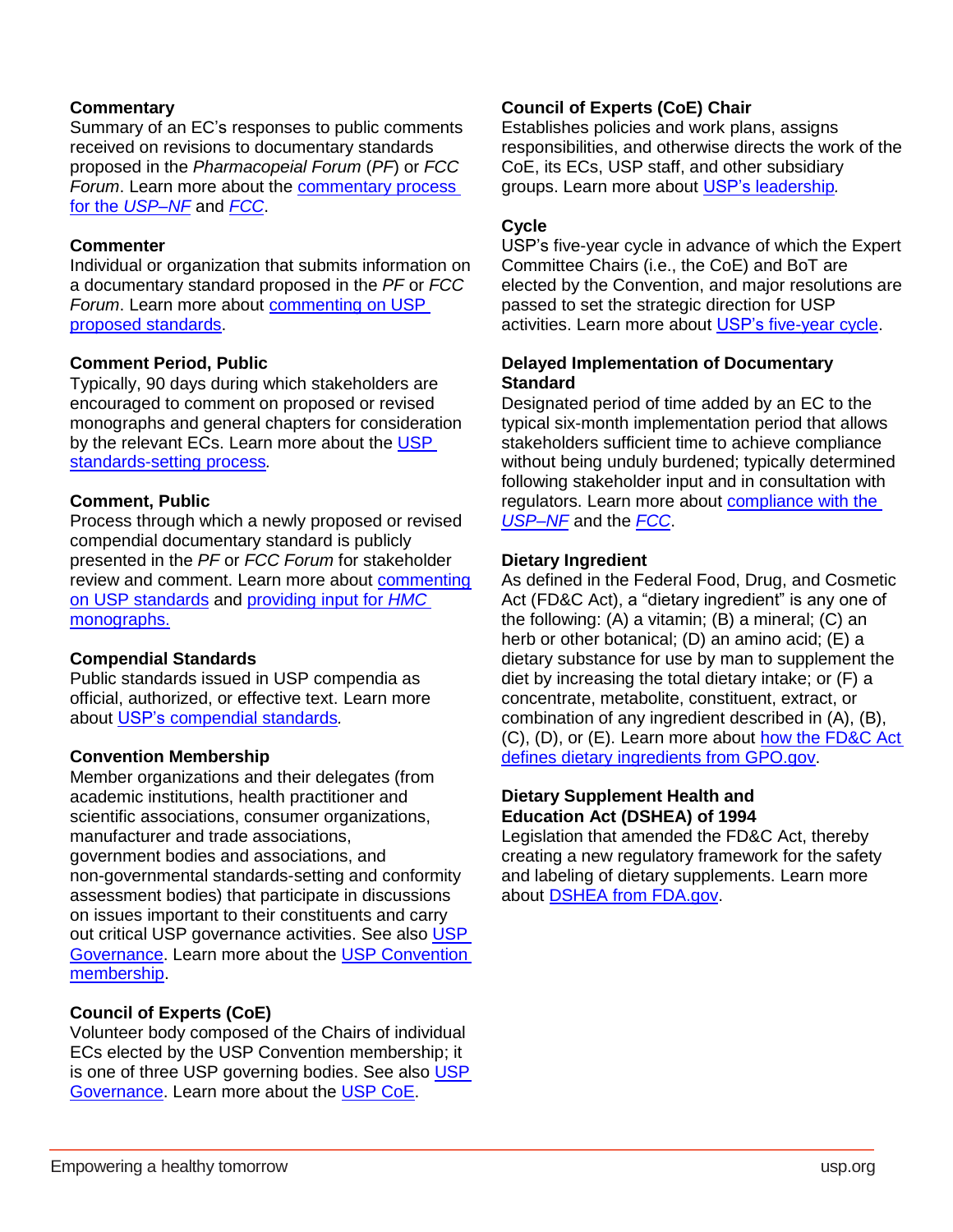# **Commentary**

Summary of an EC's responses to public comments received on revisions to documentary standards proposed in the *Pharmacopeial Forum* (*PF*) or *FCC Forum*. Learn more about the [commentary process](http://www.uspnf.com/official-text/proposal-statuscommentary)  for the *[USP–NF](http://www.uspnf.com/official-text/proposal-statuscommentary)* and *[FCC](http://www.foodchemicalscodex.org/revisions-commentary-errata)*.

## **Commenter**

Individual or organization that submits information on a documentary standard proposed in the *PF* or *FCC Forum*. Learn more about [commenting on USP](http://www.usp.org/get-involved/comment-proposed-standards)  [proposed standards.](http://www.usp.org/get-involved/comment-proposed-standards)

# **Comment Period, Public**

Typically, 90 days during which stakeholders are encouraged to comment on proposed or revised monographs and general chapters for consideration by the relevant ECs. Learn more about the USP [standards-setting process](http://www.usp.org/frequently-asked-questions/standards-setting-process)*.*

## **Comment, Public**

Process through which a newly proposed or revised compendial documentary standard is publicly presented in the *PF* or *FCC Forum* for stakeholder review and comment. Learn more about [commenting](http://www.usp.org/get-involved/comment-proposed-standards)  [on USP standards](http://www.usp.org/get-involved/comment-proposed-standards) and [providing input for](https://hmc.usp.org/faq-page/964#t964n1979) *HMC* [monographs.](https://hmc.usp.org/faq-page/964#t964n1979)

# **Compendial Standards**

Public standards issued in USP compendia as official, authorized, or effective text. Learn more about [USP's compendial standards](http://qualitymatters.usp.org/compendium-compendia-compendial-clearing-mystery-these-terms?utm_source=homepage%20blog%20promo&utm_campaign=blog%20promo)*.*

# **Convention Membership**

Member organizations and their delegates (from academic institutions, health practitioner and scientific associations, consumer organizations, manufacturer and trade associations, government bodies and associations, and non-governmental standards-setting and conformity assessment bodies) that participate in discussions on issues important to their constituents and carry out critical [USP](#page-8-0) governance activities. See also USP [Governance.](#page-8-0) Learn more about the [USP Convention](http://www.usp.org/about/convention-membership)  [membership.](http://www.usp.org/about/convention-membership)

# **Council of Experts (CoE)**

Volunteer body composed of the Chairs of individual ECs elected by the USP Convention membership; it is one of three [USP](#page-8-0) governing bodies. See also USP [Governance.](#page-8-0) Learn more about the [USP CoE.](http://www.usp.org/about/volunteer-experts)

# **Council of Experts (CoE) Chair**

Establishes policies and work plans, assigns responsibilities, and otherwise directs the work of the CoE, its ECs, USP staff, and other subsidiary groups. Learn more about [USP's leadership](https://www.usp.org/about/leadership)*.*

## **Cycle**

USP's five-year cycle in advance of which the Expert Committee Chairs (i.e., the CoE) and BoT are elected by the Convention, and major resolutions are passed to set the strategic direction for USP activities. Learn more about [USP's five-year cycle.](https://callforcandidates.usp.org/)

## **Delayed Implementation of Documentary Standard**

Designated period of time added by an EC to the typical six-month implementation period that allows stakeholders sufficient time to achieve compliance without being unduly burdened; typically determined following stakeholder input and in consultation with regulators. Learn more about [compliance with the](http://www.usp.org/frequently-asked-questions/compliance-usp-nf)  *[USP–NF](http://www.usp.org/frequently-asked-questions/compliance-usp-nf)* and the *[FCC](http://www.foodchemicalscodex.org/notices)*.

## **Dietary Ingredient**

As defined in the Federal Food, Drug, and Cosmetic Act (FD&C Act), a "dietary ingredient" is any one of the following: (A) a vitamin; (B) a mineral; (C) an herb or other botanical; (D) an amino acid; (E) a dietary substance for use by man to supplement the diet by increasing the total dietary intake; or (F) a concentrate, metabolite, constituent, extract, or combination of any ingredient described in (A), (B), (C), (D), or (E). Learn more about [how the FD&C Act](https://www.gpo.gov/fdsys/pkg/USCODE-2016-title21/html/USCODE-2016-title21.htm)  [defines dietary ingredients from GPO.gov.](https://www.gpo.gov/fdsys/pkg/USCODE-2016-title21/html/USCODE-2016-title21.htm)

# **Dietary Supplement Health and Education Act (DSHEA) of 1994**

Legislation that amended the FD&C Act, thereby creating a new regulatory framework for the safety and labeling of dietary supplements. Learn more about DSHEA from [FDA.gov.](https://www.fda.gov/Food/DietarySupplements/ProductsIngredients/default.htm)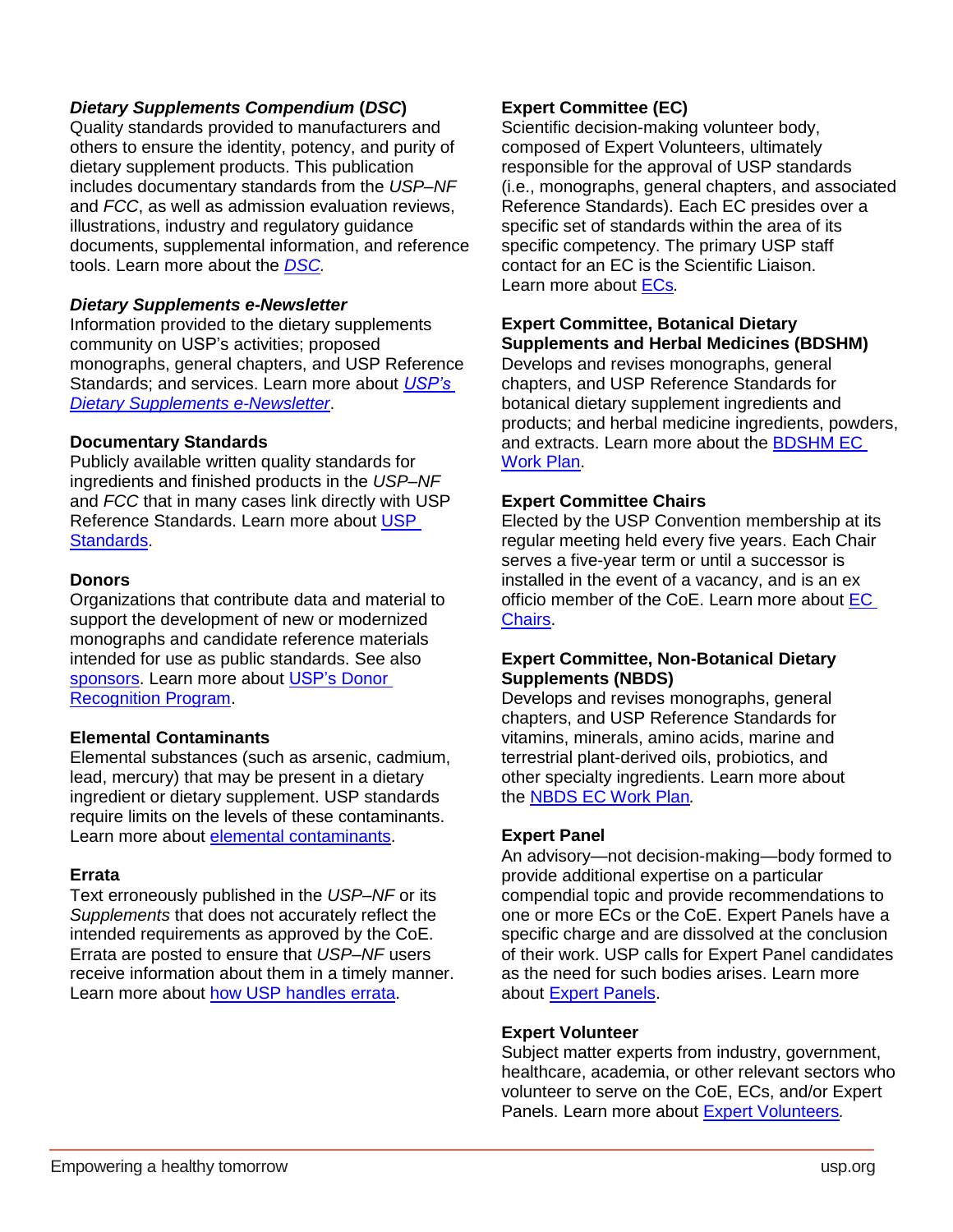# *Dietary Supplements Compendium* **(***DSC***)**

Quality standards provided to manufacturers and others to ensure the identity, potency, and purity of dietary supplement products. This publication includes documentary standards from the *USP–NF* and *FCC*, as well as admission evaluation reviews, illustrations, industry and regulatory guidance documents, supplemental information, and reference tools. Learn more about the *[DSC.](http://www.usp.org/products/dietary-supplements-compendium)*

## *Dietary Supplements e-Newsletter*

Information provided to the dietary supplements community on USP's activities; proposed monographs, general chapters, and USP Reference Standards; and services. Learn more about *[USP's](https://www.usp.org/dietary-supplements/resources)  [Dietary Supplements](https://www.usp.org/dietary-supplements/resources) e-Newsletter*.

## **Documentary Standards**

Publicly available written quality standards for ingredients and finished products in the *USP–NF* and *FCC* that in many cases link directly with USP Reference Standards. Learn more about [USP](http://www.usp.org/frequently-asked-questions/usp-and-its-standards)  [Standards.](http://www.usp.org/frequently-asked-questions/usp-and-its-standards)

## <span id="page-4-0"></span>**Donors**

Organizations that contribute data and material to support the development of new or modernized monographs and candidate reference materials intended for use as public standards. See also [sponsors.](#page-7-1) Learn more about [USP's Donor](https://www.usp.org/get-involved/partner/donor-recognition)  [Recognition Program.](https://www.usp.org/get-involved/partner/donor-recognition)

# **Elemental Contaminants**

Elemental substances (such as arsenic, cadmium, lead, mercury) that may be present in a dietary ingredient or dietary supplement. USP standards require limits on the levels of these contaminants. Learn more about [elemental contaminants.](http://www.usp.org/chemical-medicines/elemental-impurities-updates)

# **Errata**

Text erroneously published in the *USP–NF* or its *Supplements* that does not accurately reflect the intended requirements as approved by the CoE. Errata are posted to ensure that *USP–NF* users receive information about them in a timely manner. Learn more about [how USP handles errata.](http://www.uspnf.com/official-text/errata)

# **Expert Committee (EC)**

Scientific decision-making volunteer body, composed of Expert Volunteers, ultimately responsible for the approval of USP standards (i.e., monographs, general chapters, and associated Reference Standards). Each EC presides over a specific set of standards within the area of its specific competency. The primary USP staff contact for an EC is the Scientific Liaison. Learn more about [ECs](http://www.usp.org/about/volunteer-experts/expert-committees)*.*

## **Expert Committee, Botanical Dietary Supplements and Herbal Medicines (BDSHM)**

Develops and revises monographs, general chapters, and USP Reference Standards for botanical dietary supplement ingredients and products; and herbal medicine ingredients, powders, and extracts. Learn more about the [BDSHM](http://www.usp.org/expert-committees/botanical-dietary-supplements-and-herbal-medicines-expert-committee) EC [Work Plan.](http://www.usp.org/expert-committees/botanical-dietary-supplements-and-herbal-medicines-expert-committee)

# **Expert Committee Chairs**

Elected by the USP Convention membership at its regular meeting held every five years. Each Chair serves a five-year term or until a successor is installed in the event of a vacancy, and is an ex officio member of the CoE. Learn more about EC [Chairs.](http://www.usp.org/about/volunteer-experts)

## **Expert Committee, Non-Botanical Dietary Supplements (NBDS)**

Develops and revises monographs, general chapters, and USP Reference Standards for vitamins, minerals, amino acids, marine and terrestrial plant-derived oils, probiotics, and other specialty ingredients. Learn more about the [NBDS EC Work Plan](http://www.usp.org/expert-committees/non-botanical-dietary-supplements-expert-committee-work-plan)*.*

# **Expert Panel**

An advisory—not decision-making—body formed to provide additional expertise on a particular compendial topic and provide recommendations to one or more ECs or the CoE. Expert Panels have a specific charge and are dissolved at the conclusion of their work. USP calls for Expert Panel candidates as the need for such bodies arises. Learn more about [Expert Panels.](http://www.usp.org/about/volunteer-experts)

#### **Expert Volunteer**

Subject matter experts from industry, government, healthcare, academia, or other relevant sectors who volunteer to serve on the CoE, ECs, and/or Expert Panels. Learn more about [Expert Volunteers](http://www.usp.org/about/volunteer-experts)*.*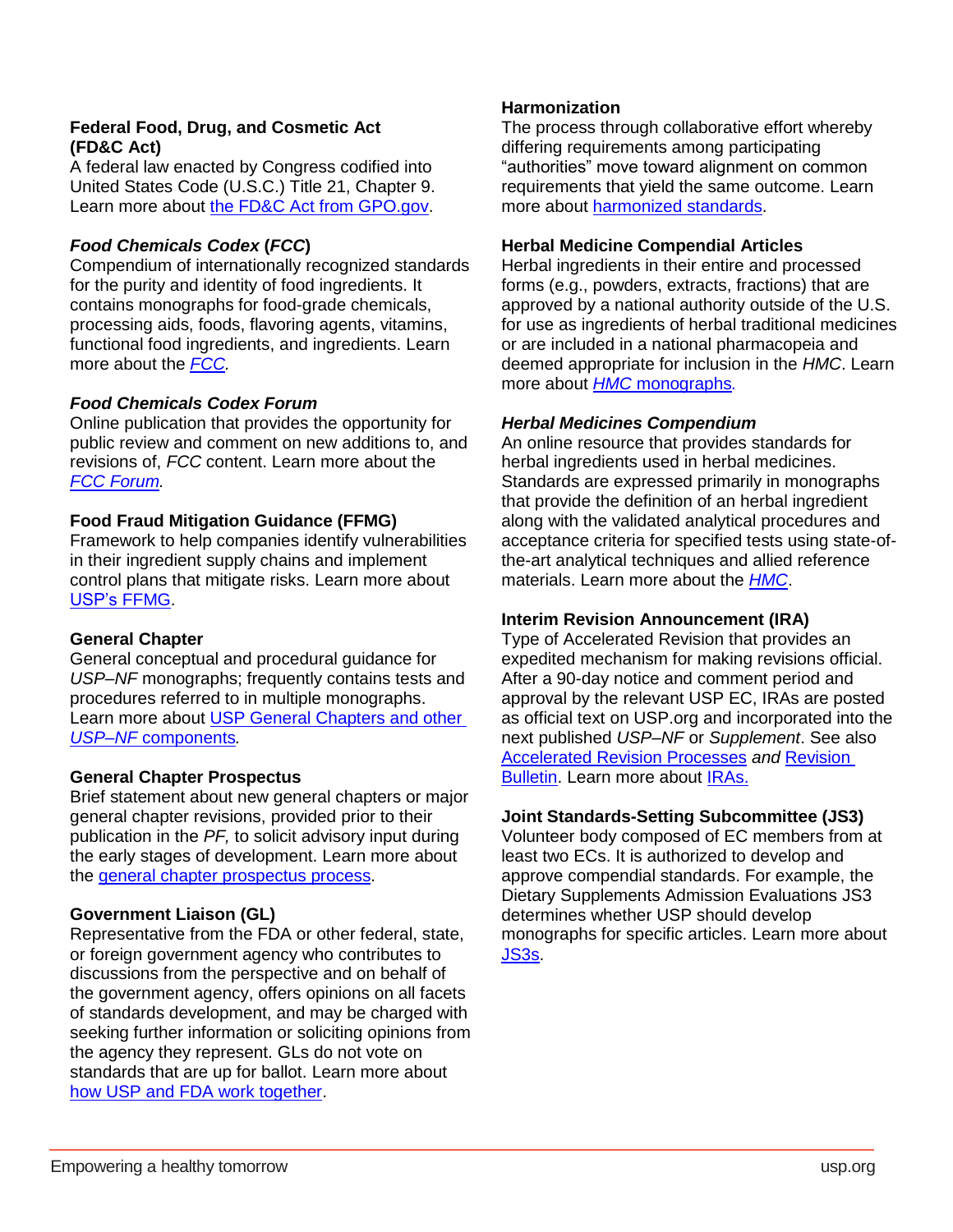# **Federal Food, Drug, and Cosmetic Act (FD&C Act)**

A federal law enacted by Congress codified into United States Code (U.S.C.) Title 21, Chapter 9. Learn more about [the FD&C Act from GPO.gov.](https://www.gpo.gov/fdsys/pkg/USCODE-2016-title21/html/USCODE-2016-title21.htm)

# *Food Chemicals Codex* **(***FCC***)**

Compendium of internationally recognized standards for the purity and identity of food ingredients. It contains monographs for food-grade chemicals, processing aids, foods, flavoring agents, vitamins, functional food ingredients, and ingredients. Learn more about the *[FCC.](http://www.foodchemicalscodex.org/)*

# *Food Chemicals Codex Forum*

Online publication that provides the opportunity for public review and comment on new additions to, and revisions of, *FCC* content. Learn more about the *[FCC Forum.](http://www.foodchemicalscodex.org/fcc-forum)*

# **Food Fraud Mitigation Guidance (FFMG)**

Framework to help companies identify vulnerabilities in their ingredient supply chains and implement control plans that mitigate risks. Learn more about [USP's FFMG.](http://www.usp.org/ffmg-form)

# **General Chapter**

General conceptual and procedural guidance for *USP–NF* monographs; frequently contains tests and procedures referred to in multiple monographs. Learn more about [USP General Chapters](http://www.uspnf.com/) and other *USP–NF* [components](http://www.uspnf.com/)*.*

# **General Chapter Prospectus**

Brief statement about new general chapters or major general chapter revisions, provided prior to their publication in the *PF,* to solicit advisory input during the early stages of development. Learn more about the [general chapter prospectus process.](http://www.uspnf.com/notices#prospectus)

# **Government Liaison (GL)**

Representative from the FDA or other federal, state, or foreign government agency who contributes to discussions from the perspective and on behalf of the government agency, offers opinions on all facets of standards development, and may be charged with seeking further information or soliciting opinions from the agency they represent. GLs do not vote on standards that are up for ballot. Learn more about [how USP and FDA work together.](http://www.usp.org/about/public-policy/usp-fda-roles)

## **Harmonization**

The process through collaborative effort whereby differing requirements among participating "authorities" move toward alignment on common requirements that yield the same outcome. Learn more about [harmonized standards.](http://www.usp.org/harmonized-standards)

#### **Herbal Medicine Compendial Articles**

Herbal ingredients in their entire and processed forms (e.g., powders, extracts, fractions) that are approved by a national authority outside of the U.S. for use as ingredients of herbal traditional medicines or are included in a national pharmacopeia and deemed appropriate for inclusion in the *HMC*. Learn more about *HMC* [monographs](https://hmc.usp.org/monographs/all)*.*

## *Herbal Medicines Compendium*

An online resource that provides standards for herbal ingredients used in herbal medicines. Standards are expressed primarily in monographs that provide the definition of an herbal ingredient along with the validated analytical procedures and acceptance criteria for specified tests using state-ofthe-art analytical techniques and allied reference materials. Learn more about the *[HMC](https://hmc.usp.org/about/about-the-herbal-medicines-compendium)*.

## <span id="page-5-0"></span>**Interim Revision Announcement (IRA)**

Type of Accelerated Revision that provides an expedited mechanism for making revisions official. After a 90-day notice and comment period and approval by the relevant USP EC, IRAs are posted as official text on USP.org and incorporated into the next published *USP–NF* or *Supplement*. See also [Accelerated Revision Processes](#page-1-0) *and* [Revision](#page-7-0)  [Bulletin.](#page-7-0) Learn more about [IRAs.](http://www.uspnf.com/official-text/iras)

#### **Joint Standards-Setting Subcommittee (JS3)**

Volunteer body composed of EC members from at least two ECs. It is authorized to develop and approve compendial standards. For example, the Dietary Supplements Admission Evaluations JS3 determines whether USP should develop monographs for specific articles. Learn more about [JS3s.](http://www.usp.org/about/volunteer-experts)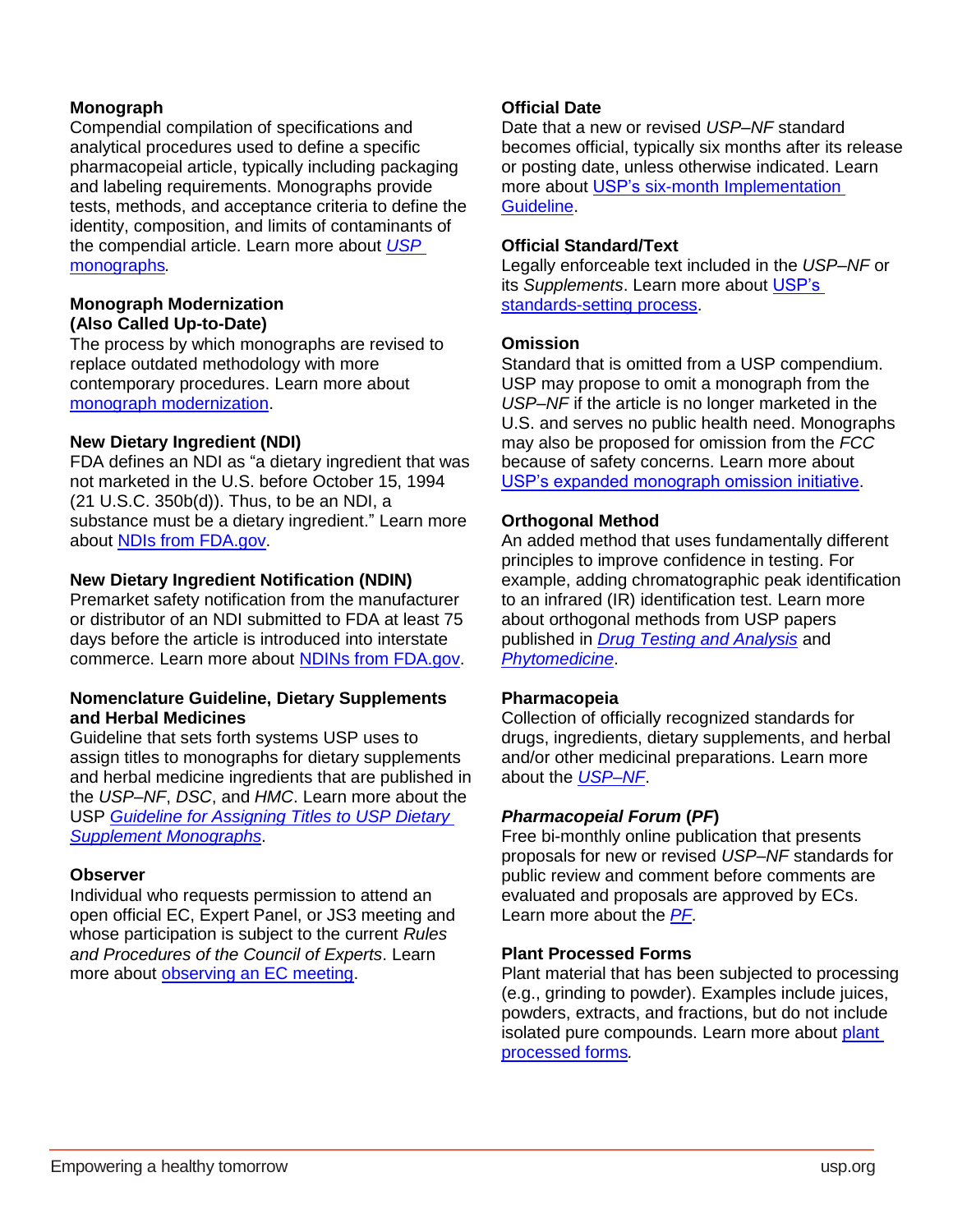# **Monograph**

Compendial compilation of specifications and analytical procedures used to define a specific pharmacopeial article, typically including packaging and labeling requirements. Monographs provide tests, methods, and acceptance criteria to define the identity, composition, and limits of contaminants of the compendial article. Learn more about *[USP](http://www.uspnf.com/)* [monographs](http://www.uspnf.com/)*.* 

#### **Monograph Modernization (Also Called Up-to-Date)**

The process by which monographs are revised to replace outdated methodology with more contemporary procedures. Learn more about [monograph modernization.](http://www.usp.org/get-involved/partner/monograph-modernization-history)

## **New Dietary Ingredient (NDI)**

FDA defines an NDI as "a dietary ingredient that was not marketed in the U.S. before October 15, 1994 (21 U.S.C. 350b(d)). Thus, to be an NDI, a substance must be a dietary ingredient." Learn more about NDIs [from FDA.gov.](https://www.fda.gov/downloads/Food/GuidanceRegulation/GuidanceDocumentsRegulatoryInformation/UCM515733.pdf)

#### **New Dietary Ingredient Notification (NDIN)**

Premarket safety notification from the manufacturer or distributor of an NDI submitted to FDA at least 75 days before the article is introduced into interstate commerce. Learn more about [NDINs from FDA.gov.](https://www.fda.gov/food/guidanceregulation/guidancedocumentsregulatoryinformation/ucm257563.htm)

#### **Nomenclature Guideline, Dietary Supplements and Herbal Medicines**

Guideline that sets forth systems USP uses to assign titles to monographs for dietary supplements and herbal medicine ingredients that are published in the *USP–NF*, *DSC*, and *HMC*. Learn more about the USP *[Guideline for Assigning Titles to USP Dietary](https://www.usp.org/sites/default/files/usp/document/get-involved/submission-guidelines/guideline-for-assigning-titles-to-usp-dietary-supplement-monograph.pdf)  [Supplement Monographs](https://www.usp.org/sites/default/files/usp/document/get-involved/submission-guidelines/guideline-for-assigning-titles-to-usp-dietary-supplement-monograph.pdf)*.

#### **Observer**

Individual who requests permission to attend an open official EC, Expert Panel, or JS3 meeting and whose participation is subject to the current *Rules and Procedures of the Council of Experts*. Learn more about [observing an EC meeting.](http://www.usp.org/get-involved/observe-expert-meeting)

# **Official Date**

Date that a new or revised *USP–NF* standard becomes official, typically six months after its release or posting date, unless otherwise indicated. Learn more about [USP's six-month Implementation](http://www.uspnf.com/notices/retired-compendial-notices/six-month-implementation-guideline)  [Guideline.](http://www.uspnf.com/notices/retired-compendial-notices/six-month-implementation-guideline)

#### **Official Standard/Text**

Legally enforceable text included in the *USP–NF* or its *Supplements*. Learn more about [USP's](http://www.usp.org/frequently-asked-questions/standards-setting-process)  [standards-setting process.](http://www.usp.org/frequently-asked-questions/standards-setting-process)

## **Omission**

Standard that is omitted from a USP compendium. USP may propose to omit a monograph from the *USP–NF* if the article is no longer marketed in the U.S. and serves no public health need. Monographs may also be proposed for omission from the *FCC*  because of safety concerns. Learn more about [USP's expanded monograph omission initiative.](http://www.uspnf.com/notices/expanded-monograph-omission-initiative)

## **Orthogonal Method**

An added method that uses fundamentally different principles to improve confidence in testing. For example, adding chromatographic peak identification to an infrared (IR) identification test. Learn more about orthogonal methods from USP papers published in *[Drug Testing and Analysis](https://www.ncbi.nlm.nih.gov/pubmed?term=dietary%20supplement%20quality%20analysis%20tools%20from%20the%20united%20states%20pharmacopeia&cmd=correctspelling)* and *[Phytomedicine](https://www.ncbi.nlm.nih.gov/pubmed/?term=Quality+specifications+for+articles+of+botanical+origin+from+the+United+States+Pharmacopeia)*.

#### **Pharmacopeia**

Collection of officially recognized standards for drugs, ingredients, dietary supplements, and herbal and/or other medicinal preparations. Learn more about the *[USP–NF](http://www.uspnf.com/)*.

#### *Pharmacopeial Forum* **(***PF***)**

Free bi-monthly online publication that presents proposals for new or revised *USP–NF* standards for public review and comment before comments are evaluated and proposals are approved by ECs. Learn more about the *[PF](http://www.uspnf.com/pharmacopeial-forum?_ga=2.117679500.406331468.1525101068-372130848.1525101068)*.

## **Plant Processed Forms**

Plant material that has been subjected to processing (e.g., grinding to powder). Examples include juices, powders, extracts, and fractions, but do not include isolated pure compounds. Learn more about plant [processed](https://hmc.usp.org/sites/default/files/documents/HMC/GN_Resources/HMC%20Nomenclature%20Guidelines%20v.%201.0.pdf) forms*.*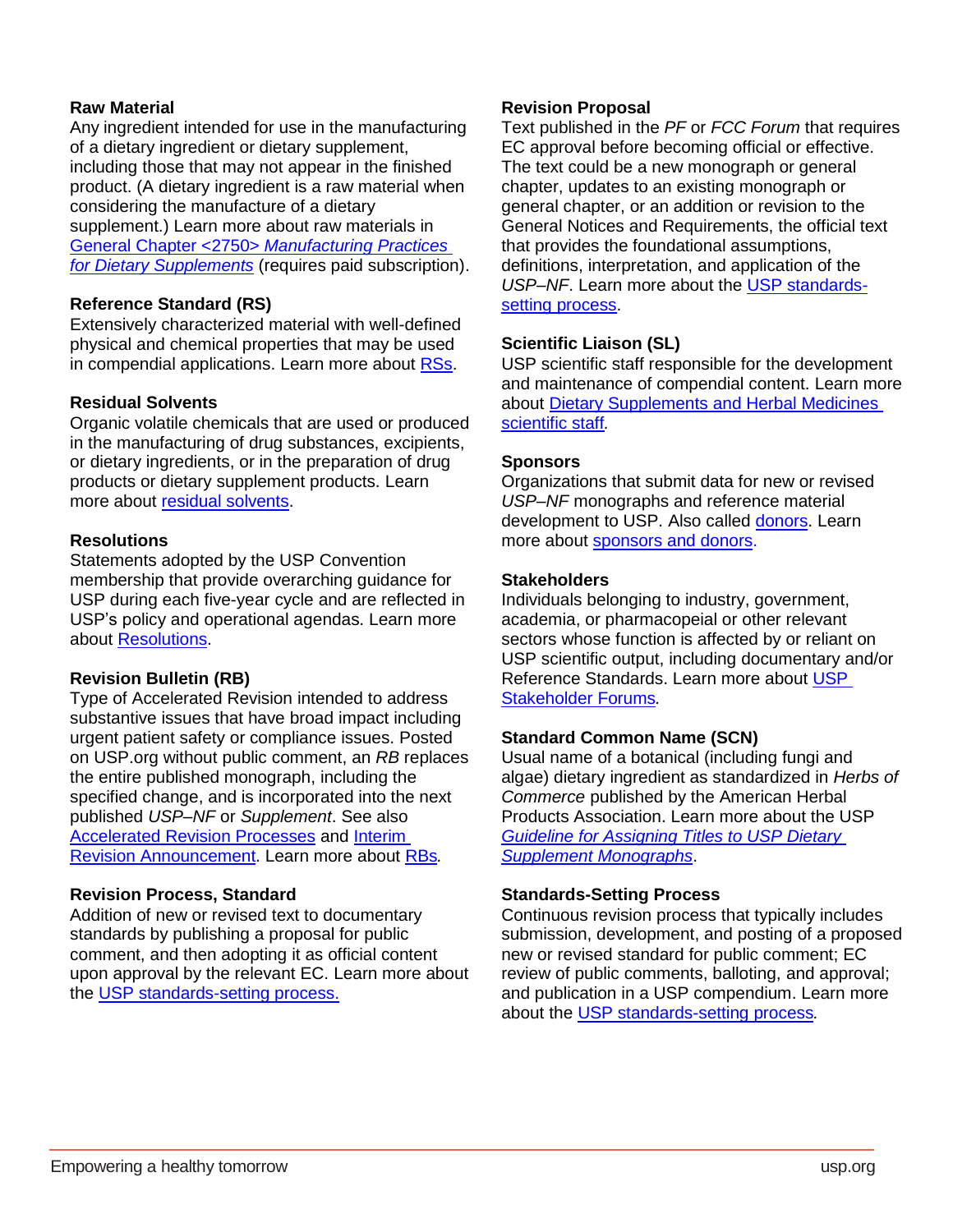## **Raw Material**

Any ingredient intended for use in the manufacturing of a dietary ingredient or dietary supplement, including those that may not appear in the finished product. (A dietary ingredient is a raw material when considering the manufacture of a dietary supplement.) Learn more about raw materials in [General Chapter <2750>](https://online.uspnf.com/uspnf/document/GUID-B1EB10D3-6473-4AC9-99B7-4AD444683A01_1_en-US) *Manufacturing Practices [for Dietary Supplements](https://online.uspnf.com/uspnf/document/GUID-B1EB10D3-6473-4AC9-99B7-4AD444683A01_1_en-US)* (requires paid subscription).

## **Reference Standard (RS)**

Extensively characterized material with well-defined physical and chemical properties that may be used in compendial applications. Learn more about [RSs.](http://www.usp.org/dietary-supplements/reference-standards)

# **Residual Solvents**

Organic volatile chemicals that are used or produced in the manufacturing of drug substances, excipients, or dietary ingredients, or in the preparation of drug products or dietary supplement products. Learn more about [residual solvents.](http://www.usp.org/frequently-asked-questions/residual-solvents)

## **Resolutions**

Statements adopted by the USP Convention membership that provide overarching guidance for USP during each five-year cycle and are reflected in USP's policy and operational agendas. Learn more about [Resolutions.](http://www.usp.org/about/convention-membership/resolutions)

# <span id="page-7-0"></span>**Revision Bulletin (RB)**

Type of Accelerated Revision intended to address substantive issues that have broad impact including urgent patient safety or compliance issues. Posted on USP.org without public comment, an *RB* replaces the entire published monograph, including the specified change, and is incorporated into the next published *USP–NF* or *Supplement*. See also [Accelerated Revision Processes](#page-1-0) and [Interim](#page-5-0)  [Revision Announcement.](#page-5-0) Learn more about [RBs](https://www.uspnf.com/official-text/revision-bulletins)*.*

# **Revision Process, Standard**

Addition of new or revised text to documentary standards by publishing a proposal for public comment, and then adopting it as official content upon approval by the relevant EC. Learn more about the [USP standards-setting process.](http://www.usp.org/frequently-asked-questions/standards-setting-process)

# **Revision Proposal**

Text published in the *PF* or *FCC Forum* that requires EC approval before becoming official or effective. The text could be a new monograph or general chapter, updates to an existing monograph or general chapter, or an addition or revision to the General Notices and Requirements, the official text that provides the foundational assumptions, definitions, interpretation, and application of the *USP–NF*. Learn more about the [USP standards](http://www.usp.org/frequently-asked-questions/standards-setting-process)[setting process.](http://www.usp.org/frequently-asked-questions/standards-setting-process)

## **Scientific Liaison (SL)**

USP scientific staff responsible for the development and maintenance of compendial content. Learn more about [Dietary Supplements and Herbal Medicines](http://www.usp.org/help/scientific-support/dietary-supplements-scientific-staff)  [scientific staff](http://www.usp.org/help/scientific-support/dietary-supplements-scientific-staff)*.*

## <span id="page-7-1"></span>**Sponsors**

Organizations that submit data for new or revised *USP–NF* monographs and reference material development to USP. Also called [donors.](#page-4-0) Learn more about [sponsors and donors.](https://www.usp.org/get-involved/partner)

## **Stakeholders**

Individuals belonging to industry, government, academia, or pharmacopeial or other relevant sectors whose function is affected by or reliant on USP scientific output, including documentary and/or Reference Standards. Learn more about [USP](http://www.usp.org/get-involved/provide-input/stakeholder-forums)  [Stakeholder](http://www.usp.org/get-involved/provide-input/stakeholder-forums) Forums*.*

# **Standard Common Name (SCN)**

Usual name of a botanical (including fungi and algae) dietary ingredient as standardized in *Herbs of Commerce* published by the American Herbal Products Association. Learn more about the USP *[Guideline for Assigning Titles to USP Dietary](https://www.usp.org/sites/default/files/usp/document/get-involved/submission-guidelines/guideline-for-assigning-titles-to-usp-dietary-supplement-monograph.pdf)  [Supplement Monographs](https://www.usp.org/sites/default/files/usp/document/get-involved/submission-guidelines/guideline-for-assigning-titles-to-usp-dietary-supplement-monograph.pdf)*.

#### **Standards-Setting Process**

Continuous revision process that typically includes submission, development, and posting of a proposed new or revised standard for public comment; EC review of public comments, balloting, and approval; and publication in a USP compendium. Learn more about the [USP standards-setting process](http://www.usp.org/frequently-asked-questions/standards-setting-process)*.*